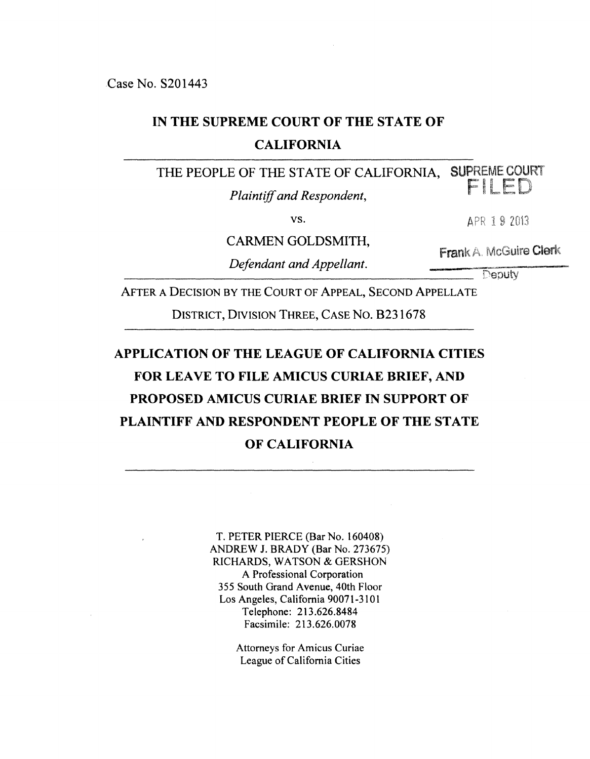# **IN THE SUPREME COURT OF THE STATE OF**

#### **CALIFORNIA**

THE PEOPLE OF THE STATE OF CALIFORNIA, SUPREME COURT

*Plaintiff and Respondent,* 

vs.

CARMEN GOLDSMITH,

*Defendant and Appellant.* 

Deputy

**Frank A. McGuire Clerk** 

APR 19 2013

AFTER A DECISION BY THE COURT OF APPEAL, SECOND APPELLATE

DISTRICT, DIVISION THREE, CASE No. 8231678

# **APPLICATION OF THE LEAGUE OF CALIFORNIA CITIES FOR LEAVE TO FILE AMICUS CURIAE BRIEF, AND PROPOSED AMICUS CURIAE BRIEF IN SUPPORT OF PLAINTIFF AND RESPONDENT PEOPLE OF THE STATE OF CALIFORNIA**

T. PETER PIERCE (Bar No. 160408) ANDREW J. BRADY (Bar No. 273675) RICHARDS, WATSON & GERSHON A Professional Corporation 355 South Grand Avenue, 40th Floor Los Angeles, California 90071-3101 Telephone: 213.626.8484 Facsimile: 213.626.0078

> Attorneys for Amicus Curiae League of California Cities

FIIFD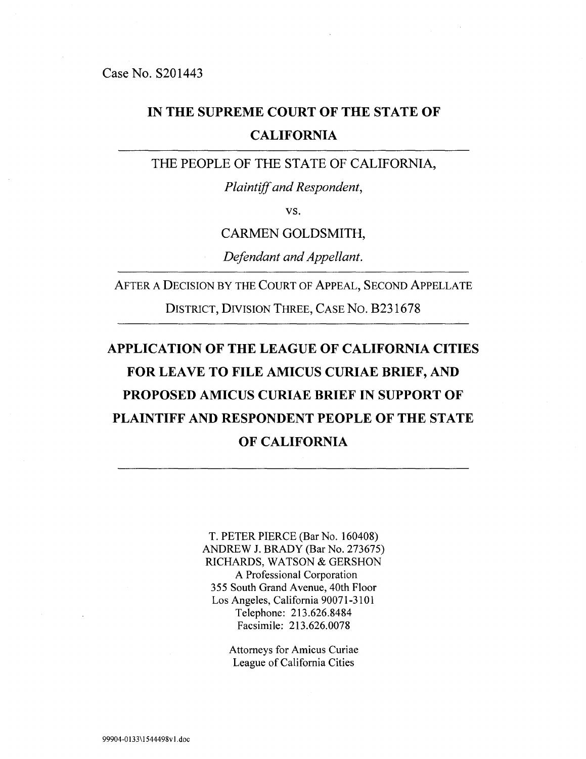### **IN THE SUPREME COURT OF THE STATE OF CALIFORNIA**

THE PEOPLE OF THE STATE OF CALIFORNIA,

*Plaintiff and Respondent,* 

VS.

CARMEN GOLDSMITH,

*Defendant and Appellant.* 

AFTER A DECISION BY THE COURT OF APPEAL, SECOND APPELLATE

DISTRICT, DIVISION THREE, CASE No. B231678

# **APPLICATION OF THE LEAGUE OF CALIFORNIA CITIES FOR LEAVE TO FILE AMICUS CURIAE BRIEF, AND PROPOSED AMICUS CURIAE BRIEF IN SUPPORT OF PLAINTIFF AND RESPONDENT PEOPLE OF THE STATE OF CALIFORNIA**

T. PETER PIERCE (Bar No. 160408) ANDREW J. BRADY (Bar No. 273675) RICHARDS, WATSON & GERSHON A Professional Corporation 355 South Grand Avenue, 40th Floor Los Angeles, California 90071-3101 Telephone: 213.626.8484 Facsimile: 213.626.0078

> Attorneys for Amicus Curiae League of California Cities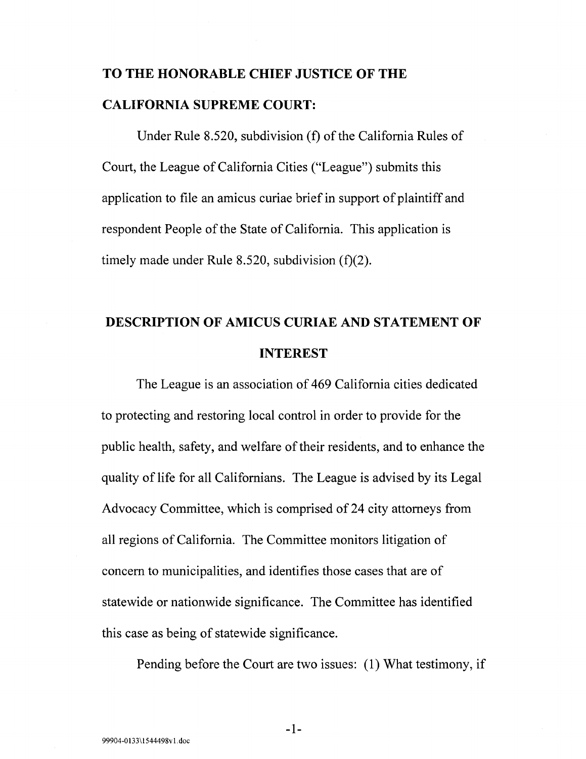# **TO THE HONORABLE CHIEF JUSTICE OF THE CALIFORNIA SUPREME COURT:**

Under Rule 8.520, subdivision (f) of the California Rules of Court, the League of California Cities ("League") submits this application to file an amicus curiae brief in support of plaintiff and respondent People of the State of California. This application is timely made under Rule 8.520, subdivision (f)(2).

# **DESCRIPTION OF AMICUS CURIAE AND STATEMENT OF INTEREST**

The League is an association of 469 California cities dedicated to protecting and restoring local control in order to provide for the public health, safety, and welfare of their residents, and to enhance the quality of life for all Californians. The League is advised by its Legal Advocacy Committee, which is comprised of 24 city attorneys from all regions of California. The Committee monitors litigation of concern to municipalities, and identifies those cases that are of statewide or nationwide significance. The Committee has identified this case as being of statewide significance.

Pending before the Court are two issues: (1) What testimony, if

-1-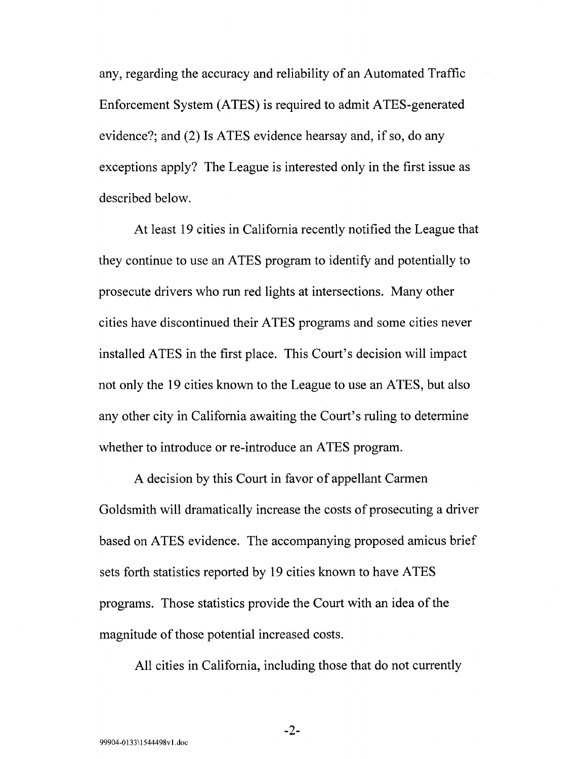any, regarding the accuracy and reliability of an Automated Traffic Enforcement System (ATES) is required to admit ATES-generated evidence?; and (2) Is ATES evidence hearsay and, if so, do any exceptions apply? The League is interested only in the first issue as described below.

At least 19 cities in California recently notified the League that they continue to use an ATES program to identify and potentially to prosecute drivers who run red lights at intersections. Many other cities have discontinued their ATES programs and some cities never installed ATES in the first place. This Court's decision will impact not only the 19 cities known to the League to use an ATES, but also any other city in California awaiting the Court's ruling to determine whether to introduce or re-introduce an ATES program.

A decision by this Court in favor of appellant Carmen Goldsmith will dramatically increase the costs of prosecuting a driver based on ATES evidence. The accompanying proposed amicus brief sets forth statistics reported by 19 cities known to have ATES programs. Those statistics provide the Court with an idea of the magnitude of those potential increased costs.

All cities in California, including those that do not currently

-2-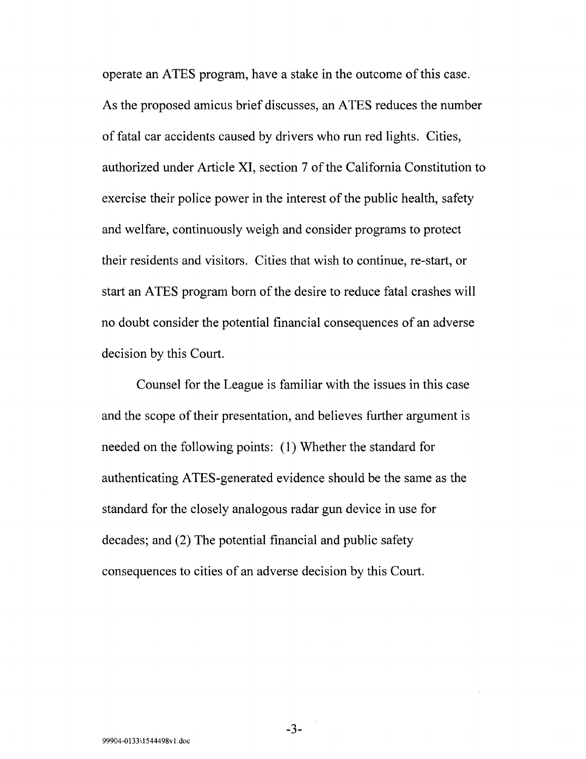operate an ATES program, have a stake in the outcome of this case. As the proposed amicus brief discusses, an ATES reduces the number of fatal car accidents caused by drivers who run red lights. Cities, authorized under Article XI, section 7 of the California Constitution to exercise their police power in the interest of the public health, safety and welfare, continuously weigh and consider programs to protect their residents and visitors. Cities that wish to continue, re-start, or start an A TES program born of the desire to reduce fatal crashes will no doubt consider the potential financial consequences of an adverse decision by this Court.

Counsel for the League is familiar with the issues in this case and the scope of their presentation, and believes further argument is needed on the following points: (1) Whether the standard for authenticating ATES-generated evidence should be the same as the standard for the closely analogous radar gun device in use for decades; and (2) The potential financial and public safety consequences to cities of an adverse decision by this Court.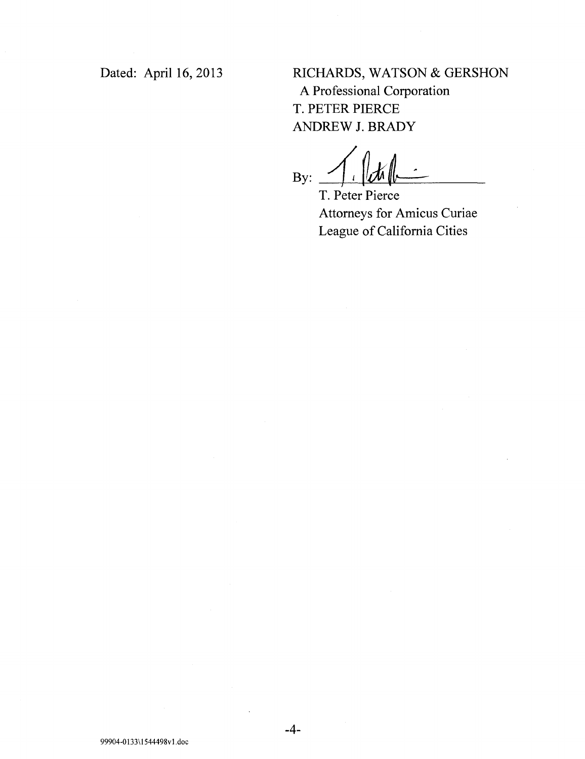Dated: April 16, 2013

RICHARDS, WATSON & GERSHON A Professional Corporation T. PETER PIERCE ANDREW J. BRADY

By:

T. Peter Pierce Attorneys for Amicus Curiae League of California Cities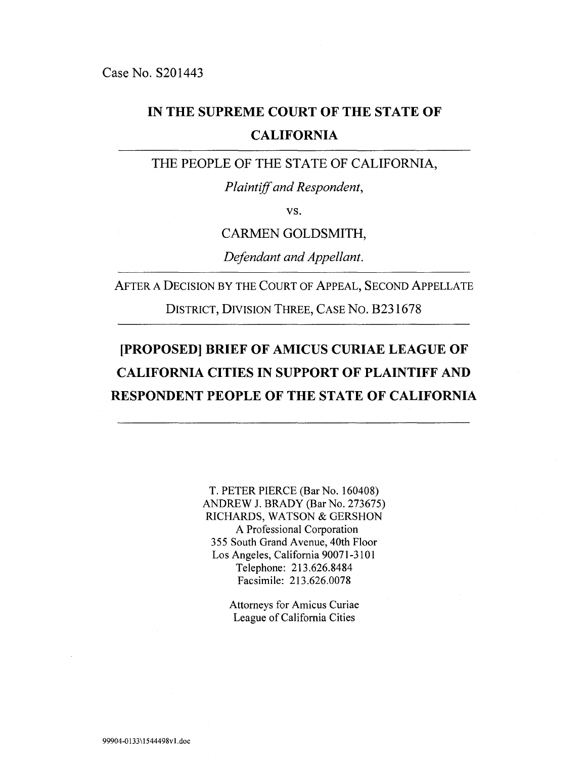## **IN THE SUPREME COURT OF THE STATE OF CALIFORNIA**

THE PEOPLE OF THE STATE OF CALIFORNIA,

*Plaintiff and Respondent,* 

VS.

CARMEN GOLDSMITH,

*Defendant and Appellant.* 

AFTER A DECISION BY THE COURT OF APPEAL, SECOND APPELLATE

DISTRICT, DIVISION THREE, CASE No. B231678

## **[PROPOSED] BRIEF OF AMICUS CURIAE LEAGUE OF CALIFORNIA CITIES IN SUPPORT OF PLAINTIFF AND RESPONDENT PEOPLE OF THE STATE OF CALIFORNIA**

T. PETER PIERCE (Bar No. 160408) ANDREW J. BRADY (Bar No. 273675) RICHARDS, WATSON & GERSHON A Professional Corporation 3 55 South Grand A venue, 40th Floor Los Angeles, California 90071-3101 Telephone: 213.626.8484 Facsimile: 213.626.0078

> Attorneys for Amicus Curiae League of California Cities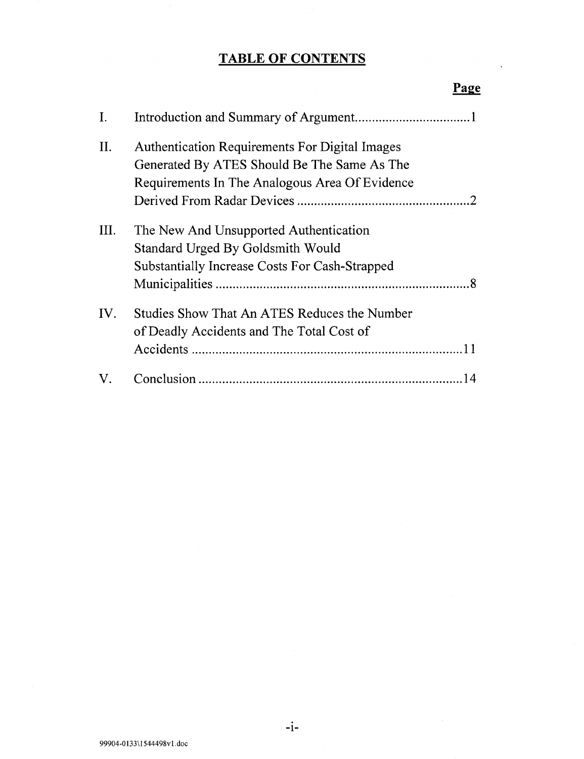## **TABLE OF CONTENTS**

| Ι.   |                                                       |
|------|-------------------------------------------------------|
| II.  | <b>Authentication Requirements For Digital Images</b> |
|      | Generated By ATES Should Be The Same As The           |
|      | Requirements In The Analogous Area Of Evidence        |
|      |                                                       |
| III. | The New And Unsupported Authentication                |
|      | Standard Urged By Goldsmith Would                     |
|      | <b>Substantially Increase Costs For Cash-Strapped</b> |
|      |                                                       |
| IV.  | Studies Show That An ATES Reduces the Number          |
|      | of Deadly Accidents and The Total Cost of             |
|      |                                                       |
| V.   |                                                       |

#### Page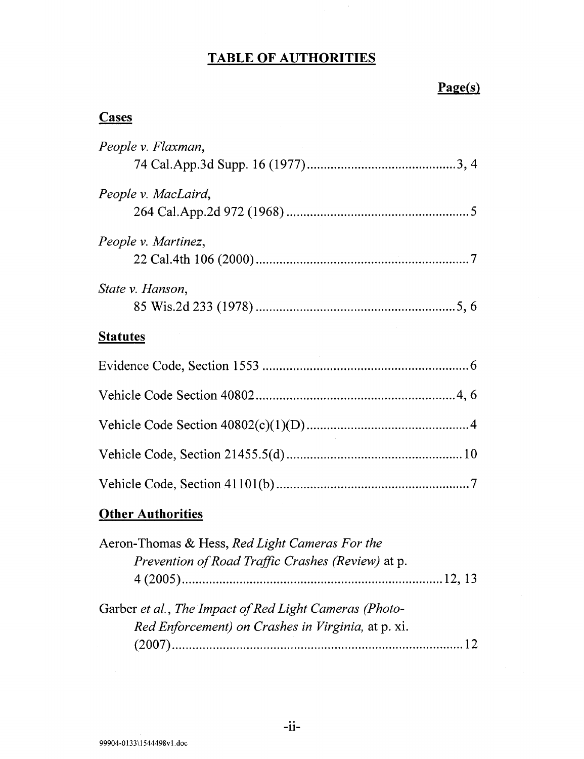### **TABLE OF AUTHORITIES**

### **Page(s)**

### **Cases**

| People v. Flaxman,       |  |  |
|--------------------------|--|--|
| People v. MacLaird,      |  |  |
| People v. Martinez,      |  |  |
| State v. Hanson,         |  |  |
| <b>Statutes</b>          |  |  |
|                          |  |  |
|                          |  |  |
|                          |  |  |
|                          |  |  |
|                          |  |  |
| <b>Other Authorities</b> |  |  |

| Aeron-Thomas & Hess, Red Light Cameras For the         |  |
|--------------------------------------------------------|--|
| Prevention of Road Traffic Crashes (Review) at p.      |  |
|                                                        |  |
| Garber et al., The Impact of Red Light Cameras (Photo- |  |
| Red Enforcement) on Crashes in Virginia, at p. xi.     |  |
|                                                        |  |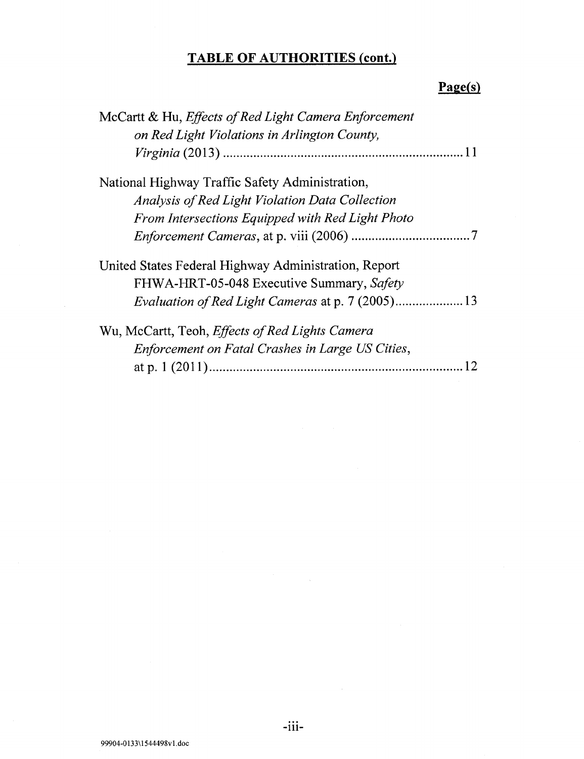## **TABLE OF AUTHORITIES (cont.)**

## **Page(s)**

| McCartt & Hu, Effects of Red Light Camera Enforcement |
|-------------------------------------------------------|
| on Red Light Violations in Arlington County,          |
| 11                                                    |
| National Highway Traffic Safety Administration,       |
| Analysis of Red Light Violation Data Collection       |
| From Intersections Equipped with Red Light Photo      |
|                                                       |
| United States Federal Highway Administration, Report  |
| FHWA-HRT-05-048 Executive Summary, Safety             |
| Evaluation of Red Light Cameras at p. 7 (2005) 13     |
| Wu, McCartt, Teoh, Effects of Red Lights Camera       |
| Enforcement on Fatal Crashes in Large US Cities,      |
|                                                       |

-111-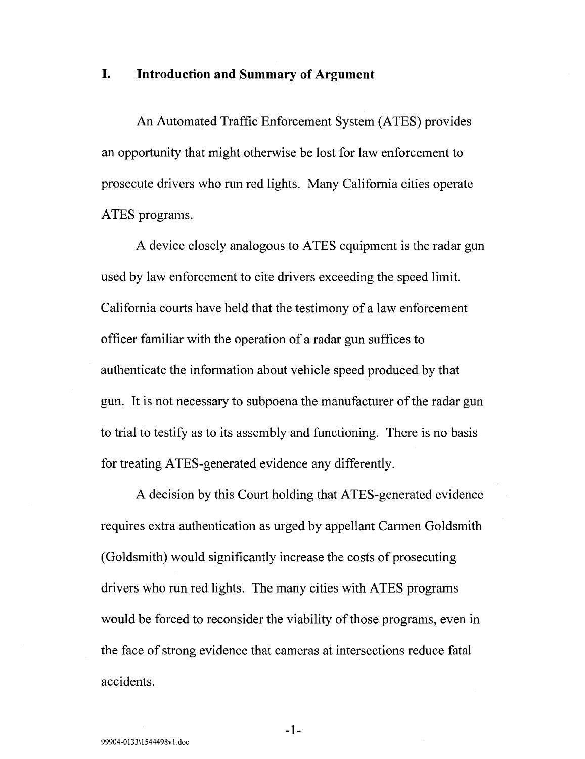#### **I. Introduction and Summary of Argument**

An Automated Traffic Enforcement System (ATES) provides an opportunity that might otherwise be lost for law enforcement to prosecute drivers who run red lights. Many California cities operate ATES programs.

A device closely analogous to ATES equipment is the radar gun used by law enforcement to cite drivers exceeding the speed limit. California courts have held that the testimony of a law enforcement officer familiar with the operation of a radar gun suffices to authenticate the information about vehicle speed produced by that gun. It is not necessary to subpoena the manufacturer of the radar gun to trial to testify as to its assembly and functioning. There is no basis for treating ATES-generated evidence any differently.

A decision by this Court holding that ATES-generated evidence requires extra authentication as urged by appellant Carmen Goldsmith (Goldsmith) would significantly increase the costs of prosecuting drivers who run red lights. The many cities with ATES programs would be forced to reconsider the viability of those programs, even in the face of strong evidence that cameras at intersections reduce fatal accidents.

-1-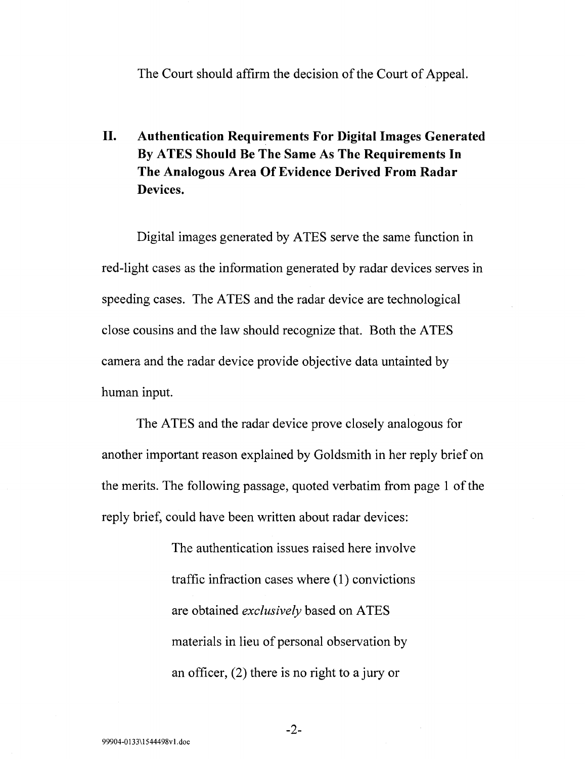The Court should affirm the decision of the Court of Appeal.

### **II. Authentication Requirements For Digital Images Generated By ATES Should Be The Same As The Requirements In The Analogous Area Of Evidence Derived From Radar Devices.**

Digital images generated by ATES serve the same function in red-light cases as the information generated by radar devices serves in speeding cases. The ATES and the radar device are technological close cousins and the law should recognize that. Both the ATES camera and the radar device provide objective data untainted by human input.

The ATES and the radar device prove closely analogous for another important reason explained by Goldsmith in her reply brief on the merits. The following passage, quoted verbatim from page 1 of the reply brief, could have been written about radar devices:

> The authentication issues raised here involve traffic infraction cases where  $(1)$  convictions are obtained *exclusively* based on ATES materials in lieu of personal observation by an officer, (2) there is no right to a jury or

-2-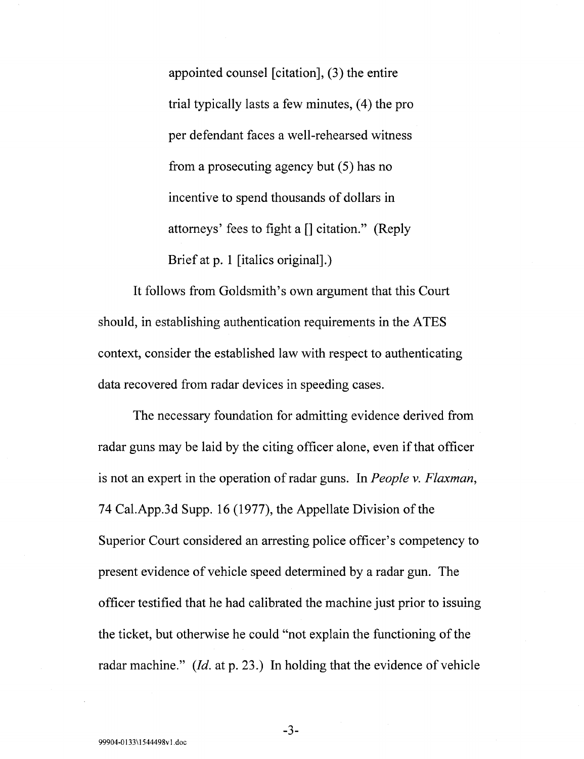appointed counsel [citation], (3) the entire trial typically lasts a few minutes,  $(4)$  the pro per defendant faces a well-rehearsed witness from a prosecuting agency but  $(5)$  has no incentive to spend thousands of dollars in attorneys' fees to fight a[] citation." (Reply Brief at p. 1 [italics original].)

It follows from Goldsmith's own argument that this Court should, in establishing authentication requirements in the ATES context, consider the established law with respect to authenticating data recovered from radar devices in speeding cases.

The necessary foundation for admitting evidence derived from radar guns may be laid by the citing officer alone, even if that officer is not an expert in the operation of radar guns. In *People v. Flaxman,*  74 Cal.App.3d Supp. 16 (1977), the Appellate Division of the Superior Court considered an arresting police officer's competency to present evidence of vehicle speed determined by a radar gun. The officer testified that he had calibrated the machine just prior to issuing the ticket, but otherwise he could "not explain the functioning of the radar machine."  $(Id.$  at p. 23.) In holding that the evidence of vehicle

-3-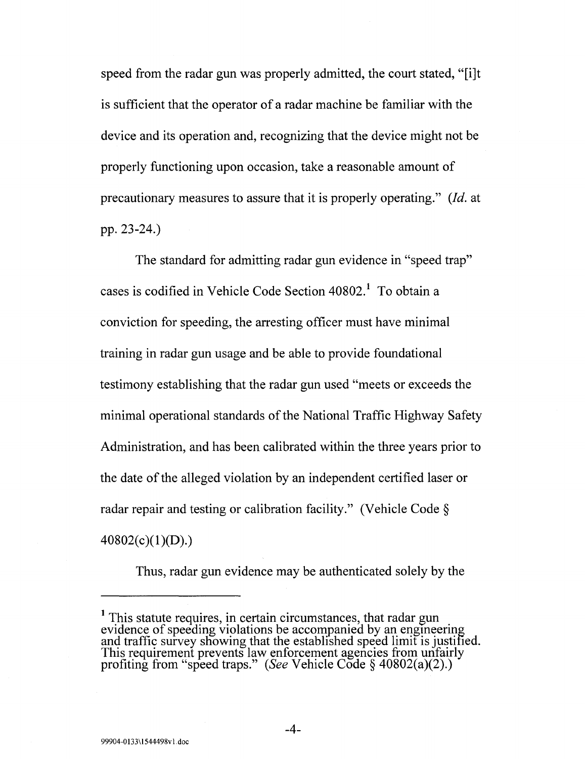speed from the radar gun was properly admitted, the court stated, "[i]t is sufficient that the operator of a radar machine be familiar with the device and its operation and, recognizing that the device might not be properly functioning upon occasion, take a reasonable amount of precautionary measures to assure that it is properly operating." *(!d.* at pp. 23-24.)

The standard for admitting radar gun evidence in "speed trap" cases is codified in Vehicle Code Section 40802.<sup>1</sup> To obtain a conviction for speeding, the arresting officer must have minimal training in radar gun usage and be able to provide foundational testimony establishing that the radar gun used "meets or exceeds the minimal operational standards of the National Traffic Highway Safety Administration, and has been calibrated within the three years prior to the date of the alleged violation by an independent certified laser or radar repair and testing or calibration facility." (Vehicle Code§  $40802(c)(1)(D).$ 

Thus, radar gun evidence may be authenticated solely by the

<sup>&</sup>lt;sup>1</sup> This statute requires, in certain circumstances, that radar gun evidence of speeding violations be accompanied by an engmeering and traffic survey showing that the established speed limit is justified.<br>This requirement prevents law enforcement agencies from unfairly profiting from "speed traps." *(See* Vehicle Code § 40802(a)(2).)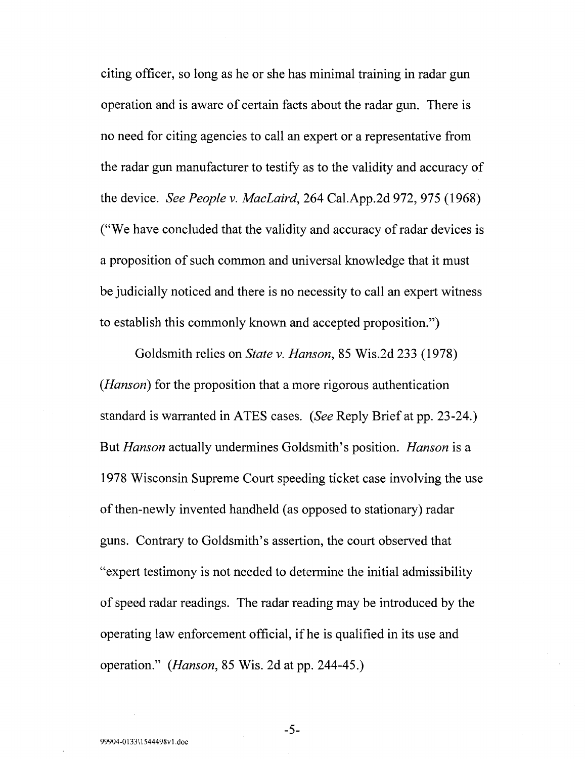citing officer, so long as he or she has minimal training in radar gun operation and is aware of certain facts about the radar gun. There is no need for citing agencies to call an expert or a representative from the radar gun manufacturer to testify as to the validity and accuracy of the device. *See People v. MacLaird,* 264 Cal.App.2d 972, 975 (1968) ("We have concluded that the validity and accuracy of radar devices is a proposition of such common and universal knowledge that it must be judicially noticed and there is no necessity to call an expert witness to establish this commonly known and accepted proposition.")

Goldsmith relies on *State v. Hanson,* 85 Wis.2d 233 (1978) *(Hanson)* for the proposition that a more rigorous authentication standard is warranted in ATES cases. *(See* Reply Brief at pp. 23-24.) But *Hanson* actually undermines Goldsmith's position. *Hanson* is a 1978 Wisconsin Supreme Court speeding ticket case involving the use of then-newly invented handheld (as opposed to stationary) radar guns. Contrary to Goldsmith's assertion, the court observed that "expert testimony is not needed to determine the initial admissibility of speed radar readings. The radar reading may be introduced by the operating law enforcement official, if he is qualified in its use and operation." *(Hanson,* 85 Wis. 2d at pp. 244-45.)

-5-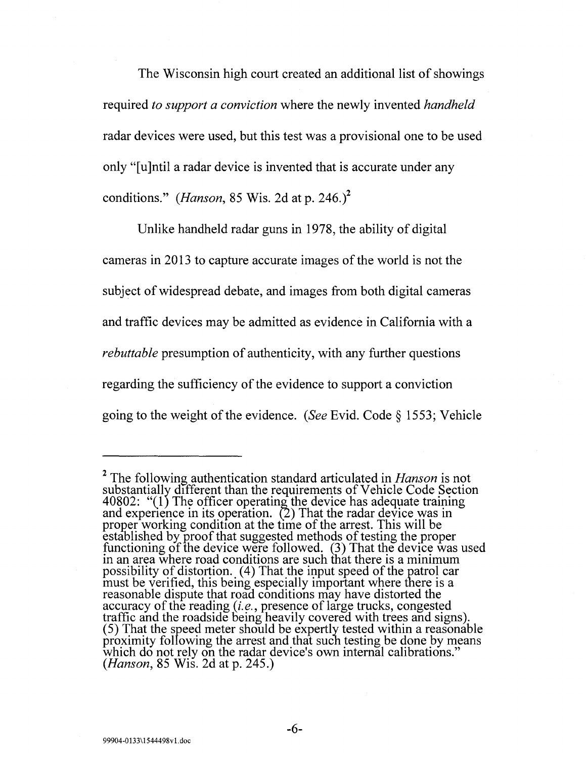The Wisconsin high court created an additional list of showings required *to support a conviction* where the newly invented *handheld*  radar devices were used, but this test was a provisional one to be used only "[u]ntil a radar device is invented that is accurate under any conditions." *(Hanson,* 85 Wis. 2d at p. 246.)<sup>2</sup>

Unlike handheld radar guns in 1978, the ability of digital cameras in 2013 to capture accurate images of the world is not the subject of widespread debate, and images from both digital cameras and traffic devices may be admitted as evidence in California with a *rebuttable* presumption of authenticity, with any further questions regarding the sufficiency of the evidence to support a conviction going to the weight of the evidence. *(See* Evid. Code§ 1553; Vehicle

-6-

<sup>2</sup> The following authentication standard articulated in *Hanson* is not substantially different than the requirements of Vehicle Code Section 40802: " $(1)$  The officer operating the device has adequate training and experience in its operation.  $(2)$  That the radar device was in proper working condition at the time of the arrest. This will be established by proof that suggested methods of testing the proper functioning of the device were followed. (3) That the device was used in an area where road conditions are such that there is a minimum possibility of distortion. (4) That the input speed of the patrol car must be verified, this being especially important where there is a reasonable dispute that road conditions may have distorted the accuracy of the reading *(i.e.*, presence of large trucks, congested traffic and the roadside being heavily covered with trees and signs). (5) That the speed meter should be expertly tested within a reasonable proximity foliowing the arrest and that such testing be done by means which do not rely on the radar device's own internal calibrations." *(Hanson,* 85 Wis. 2d at p. 245.)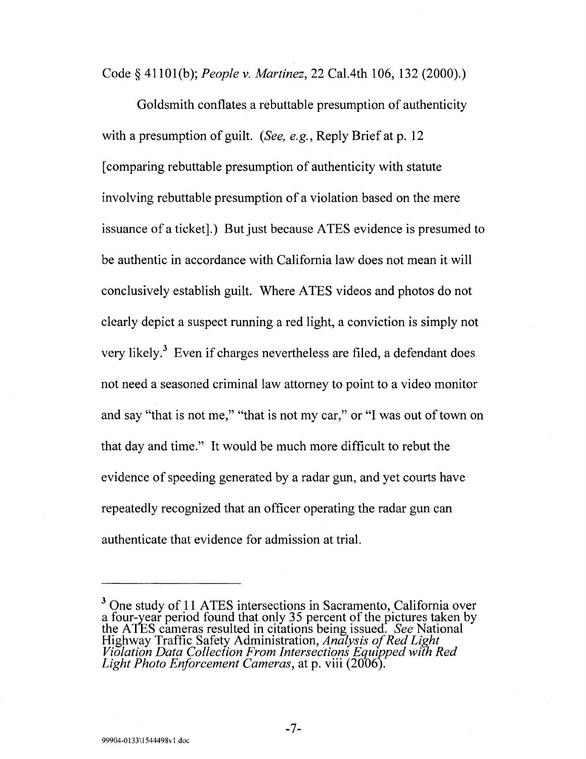Code§ 41101(b); *People* v. *Martinez,* 22 Ca1.4th 106, 132 (2000).)

Goldsmith conflates a rebuttable presumption of authenticity with a presumption of guilt. *(See, e.g.,* Reply Brief at p. 12 [comparing rebuttable presumption of authenticity with statute involving rebuttable presumption of a violation based on the mere issuance of a ticket].) But just because ATES evidence is presumed to be authentic in accordance with California law does not mean it will conclusively establish guilt. Where ATES videos and photos do not clearly depict a suspect running a red light, a conviction is simply not very likely.<sup>3</sup> Even if charges nevertheless are filed, a defendant does not need a seasoned criminal law attorney to point to a video monitor and say "that is not me," "that is not my car," or "I was out of town on that day and time." It would be much more difficult to rebut the evidence of speeding generated by a radar gun, and yet courts have repeatedly recognized that an officer operating the radar gun can authenticate that evidence for admission at trial.

-7-

<sup>&</sup>lt;sup>3</sup> One study of 11 ATES intersections in Sacramento, California over a four-year period found that only 35 percent of the pictures taken by the ATES cameras resulted in citations being issued. *See* National Highway Traffic Safety Administration, *Analysis of Red Light Violation Data Collection From Intersections Equjpped with Red Light Photo Enforcement Cameras,* at p. viii (200o).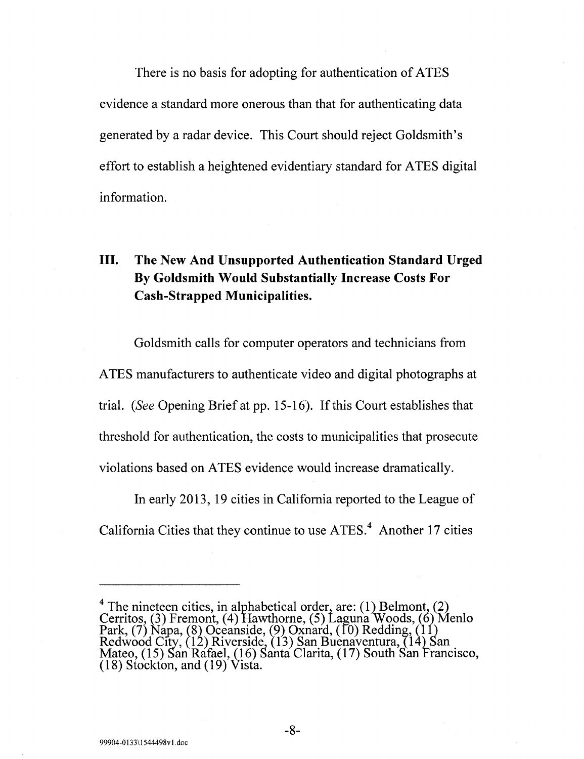There is no basis for adopting for authentication of ATES evidence a standard more onerous than that for authenticating data generated by a radar device. This Court should reject Goldsmith's effort to establish a heightened evidentiary standard for ATES digital information.

#### **III. The New And Unsupported Authentication Standard Urged By Goldsmith Would Substantially Increase Costs For Cash-Strapped Municipalities.**

Goldsmith calls for computer operators and technicians from ATES manufacturers to authenticate video and digital photographs at trial. *(See* Opening Brief at pp. 15-16). Ifthis Court establishes that threshold for authentication, the costs to municipalities that prosecute violations based on ATES evidence would increase dramatically.

In early 2013, 19 cities in California reported to the League of California Cities that they continue to use ATES.<sup>4</sup> Another 17 cities

<sup>&</sup>lt;sup>4</sup> The nineteen cities, in alphabetical order, are: (1) Belmont, (2) Cerritos, (3) Fremont, (4) Hawthorne, (5) Laguna Woods, (6) Menlo Park,  $(7)$  Napa,  $(8)$  Oceanside,  $(9)$  Oxnard,  $(10)$  Redding,  $(11)$ Redwood City, (12) Riverside, (13) San Buenaventura, (14) San Mateo, (15) San Rafael, (16) Santa Clarita, (17) South San Francisco, (18) Stockton, and (19) Vista.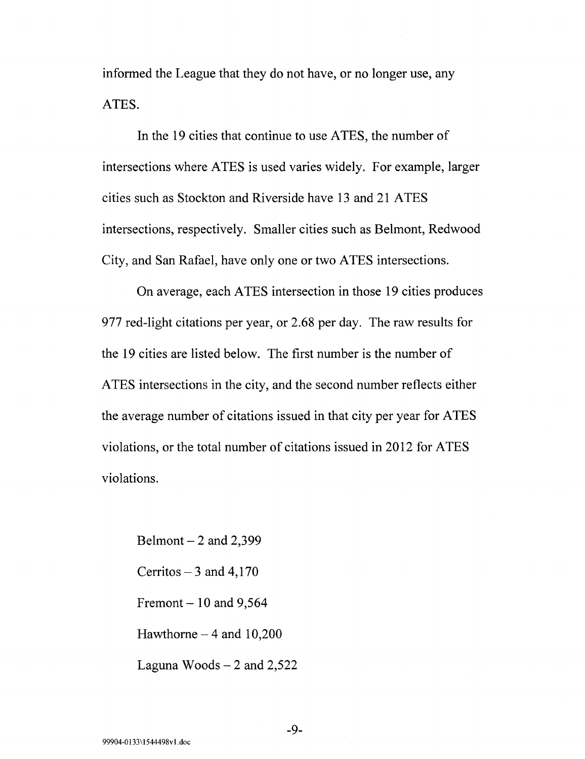informed the League that they do not have, or no longer use, any ATES.

In the 19 cities that continue to use ATES, the number of intersections where ATES is used varies widely. For example, larger cities such as Stockton and Riverside have 13 and 21 ATES intersections, respectively. Smaller cities such as Belmont, Redwood City, and San Rafael, have only one or two ATES intersections.

On average, each A TES intersection in those 19 cities produces 977 red-light citations per year, or 2.68 per day. The raw results for the 19 cities are listed below. The first number is the number of ATES intersections in the city, and the second number reflects either the average number of citations issued in that city per year for ATES violations, or the total number of citations issued in 2012 for ATES violations.

Belmont  $- 2$  and 2,399 Cerritos  $-3$  and 4,170 Fremont  $- 10$  and 9,564 Hawthorne  $-4$  and 10,200 Laguna Woods  $- 2$  and 2,522

-9-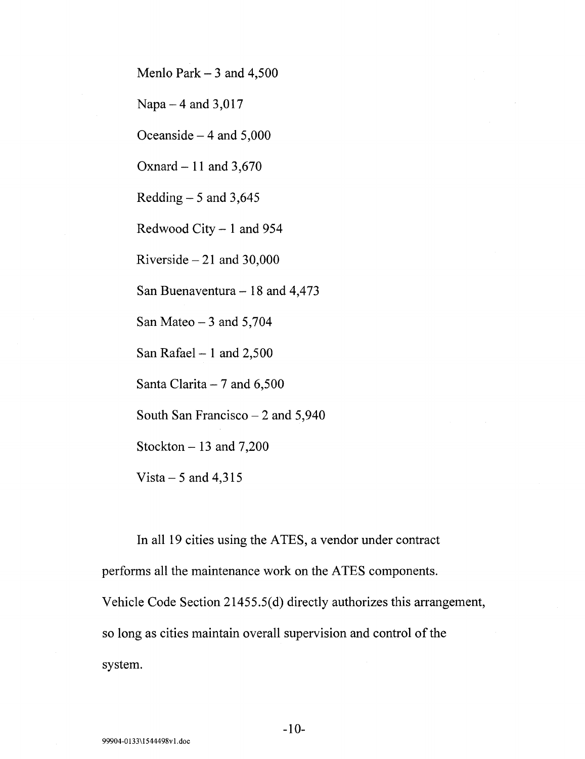Menlo Park  $-3$  and  $4,500$ 

Napa  $-4$  and 3,017

Oceanside  $-4$  and  $5,000$ 

Oxnard- **11** and 3,670

Redding  $-5$  and 3,645

Redwood City - **1** and 954

Riverside  $-21$  and 30,000

San Buenaventura- 18 and 4,473

San Mateo  $-3$  and 5,704

San Rafael- **1** and 2,500

Santa Clarita  $-7$  and 6,500

South San Francisco  $- 2$  and 5,940

Stockton  $-13$  and 7,200

Vista  $-5$  and 4,315

In all 19 cities using the ATES, a vendor under contract performs all the maintenance work on the ATES components.

Vehicle Code Section 21455.5(d) directly authorizes this arrangement,

so long as cities maintain overall supervision and control of the

system.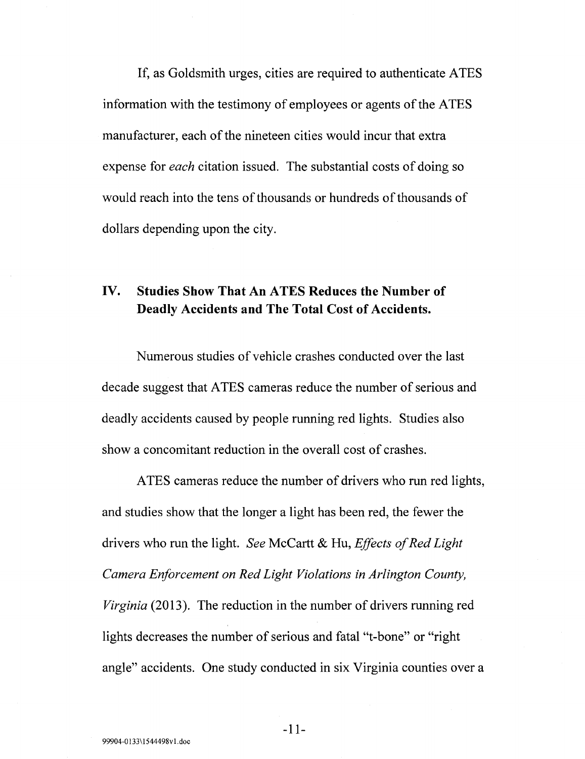If, as Goldsmith urges, cities are required to authenticate ATES information with the testimony of employees or agents of the ATES manufacturer, each of the nineteen cities would incur that extra expense for *each* citation issued. The substantial costs of doing so would reach into the tens of thousands or hundreds of thousands of dollars depending upon the city.

#### **IV. Studies Show That An ATES Reduces the Number of Deadly Accidents and The Total Cost of Accidents.**

Numerous studies of vehicle crashes conducted over the last decade suggest that ATES cameras reduce the number of serious and deadly accidents caused by people running red lights. Studies also show a concomitant reduction in the overall cost of crashes.

ATES cameras reduce the number of drivers who run red lights, and studies show that the longer a light has been red, the fewer the drivers who run the light. *See* McCartt & Hu, *Effects of Red Light Camera Enforcement on Red Light Violations in Arlington County, Virginia* (2013). The reduction in the number of drivers running red lights decreases the number of serious and fatal "t-bone" or "right angle" accidents. One study conducted in six Virginia counties over a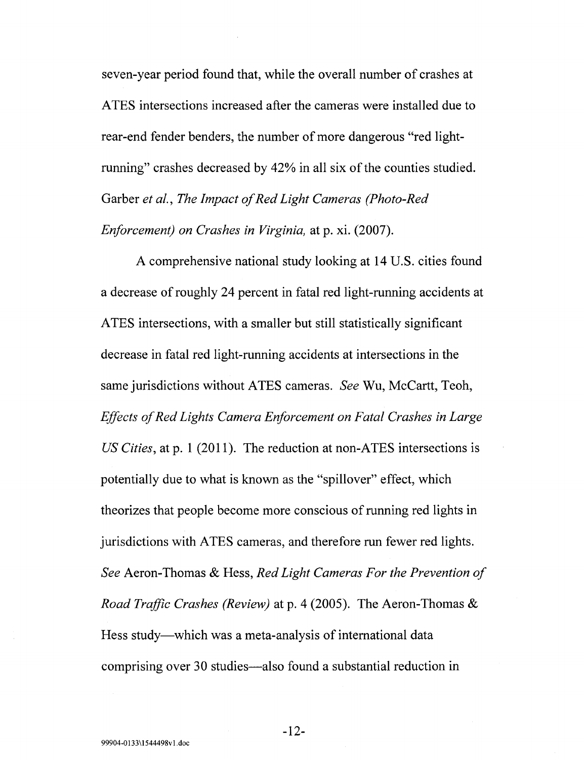seven-year period found that, while the overall number of crashes at ATES intersections increased after the cameras were installed due to rear-end fender benders, the number of more dangerous "red lightrunning" crashes decreased by 42% in all six of the counties studied. Garber *et al., The Impact of Red Light Cameras (Photo-Red Enforcement) on Crashes in Virginia,* at p. xi. (2007).

A comprehensive national study looking at 14 U.S. cities found a decrease of roughly 24 percent in fatal red light-running accidents at A TES intersections, with a smaller but still statistically significant decrease in fatal red light-running accidents at intersections in the same jurisdictions without ATES cameras. *See* Wu, McCartt, Teoh, *Effects of Red Lights Camera Enforcement on Fatal Crashes in Large US Cities,* at p. 1 (2011). The reduction at non-ATES intersections is potentially due to what is known as the "spillover" effect, which theorizes that people become more conscious of running red lights in jurisdictions with ATES cameras, and therefore run fewer red lights. *See* Aeron-Thomas & Hess, *Red Light Cameras For the Prevention of Road Traffic Crashes (Review)* at p. 4 (2005). The Aeron-Thomas & Hess study—which was a meta-analysis of international data comprising over 30 studies-also found a substantial reduction in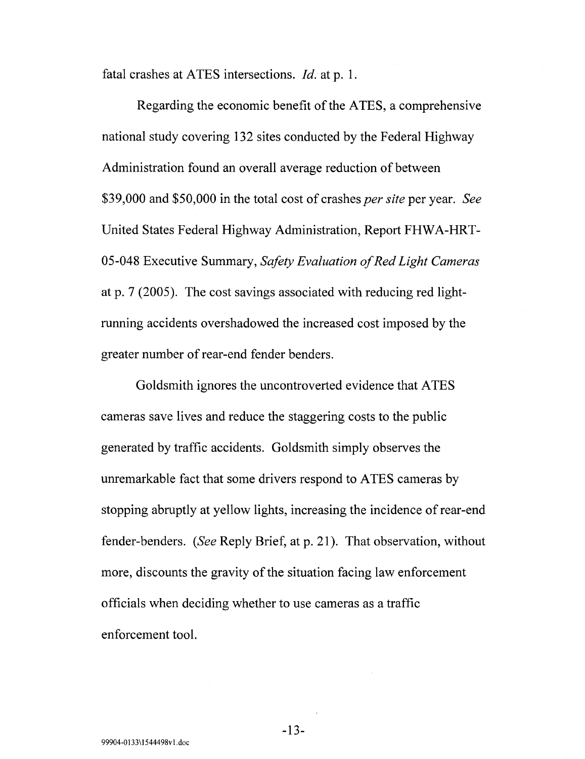fatal crashes at ATES intersections. *!d.* at p. 1.

Regarding the economic benefit of the ATES, a comprehensive national study covering 132 sites conducted by the Federal Highway Administration found an overall average reduction of between \$39,000 and \$50,000 in the total cost of crashes *per site* per year. *See*  United States Federal Highway Administration, Report FHWA-HRT-05-048 Executive Summary, *Safety Evaluation of Red Light Cameras*  at p. 7 (2005). The cost savings associated with reducing red lightrunning accidents overshadowed the increased cost imposed by the greater number of rear-end fender benders.

Goldsmith ignores the uncontroverted evidence that ATES cameras save lives and reduce the staggering costs to the public generated by traffic accidents. Goldsmith simply observes the unremarkable fact that some drivers respond to ATES cameras by stopping abruptly at yellow lights, increasing the incidence of rear-end fender-benders. *(See* Reply Brief, at p. 21 ). That observation, without more, discounts the gravity of the situation facing law enforcement officials when deciding whether to use cameras as a traffic enforcement tool.

-13-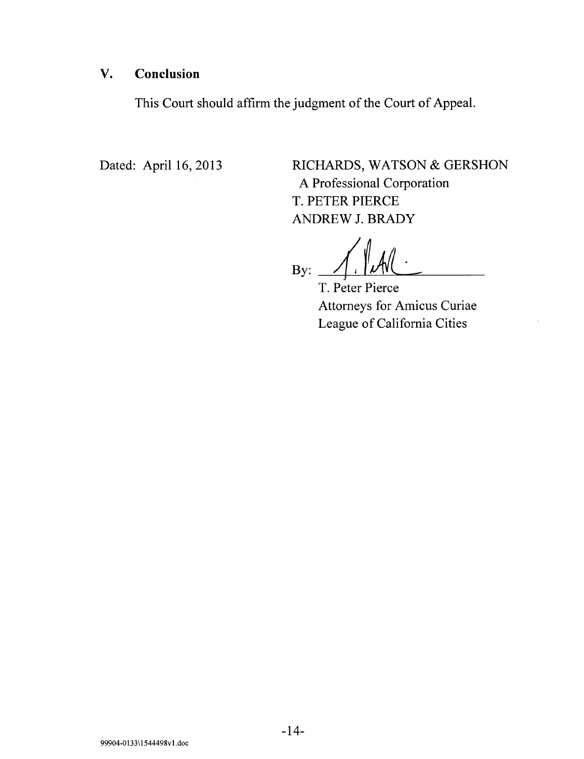#### V. **Conclusion**

This Court should affirm the judgment of the Court of Appeal.

Dated: April 16, 2013

RICHARDS, WATSON & GERSHON A Professional Corporation T. PETER PIERCE ANDREW J. BRADY

 $B_{\text{By:}}$   $\longrightarrow$   $\longrightarrow$   $\longrightarrow$   $\longrightarrow$ 

T. Peter Pierce Attorneys for Amicus Curiae League of California Cities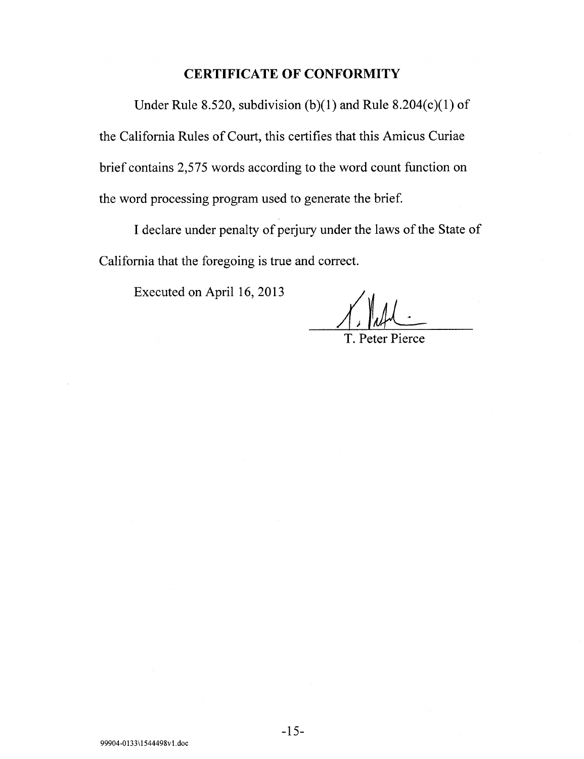#### **CERTIFICATE OF CONFORMITY**

Under Rule 8.520, subdivision (b)(1) and Rule 8.204(c)(1) of the California Rules of Court, this certifies that this Amicus Curiae brief contains 2,575 words according to the word count function on the word processing program used to generate the brief.

I declare under penalty of perjury under the laws of the State of California that the foregoing is true and correct.

Executed on April 16, 2013

T. Peter Pierce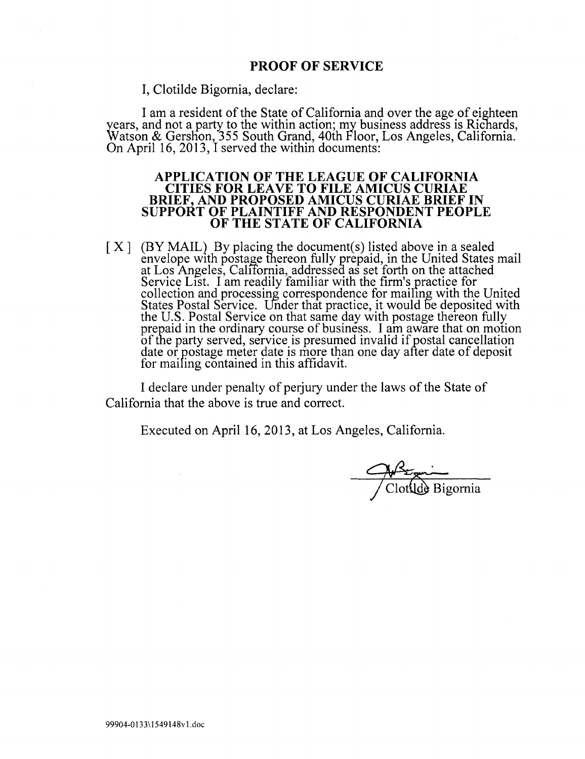I, Clotilde Bigornia, declare:

I am a resident of the State of California and over the age of eighteen years, and not a party to the within action; my business address is Richards, Watson & Gerslion, 355 South Grand, 40th Floor, Los Angeles, California. On April 16, 2013, I served the within documents:

#### **APPLICATION OF THE LEAGUE OF CALIFORNIA CITIES FOR LEAVE TO FILE AMICUS CURIAE BRIEF, AND PROPOSED AMICUS CURIAE BRIEF IN SUPPORT OF PLAINTIFF AND RESPONDENT PEOPLE OF THE STATE OF CALIFORNIA**

[X] (BY MAIL) By placing the document(s) listed above in a sealed envelope with postage thereon fully prepaid, in the United States mail at Los Angeles, Calffornia, addressea as set forth on the attached Service List. I am readily familiar with the firm's practice for collection and processing correspondence for mailing with the United States Postal Service. Under that practice, it would be deposited with the U.S. Postal Service on that same day with postage thereon fully prepaid in the ordinary course of business. I am aware that on motion of the party served, service is presumed invalid if postal cancellation date or postage meter date is more than one day after date of deposit for maifing contained in this affidavit.

I declare under penalty of perjury under the laws of the State of California that the above is true and correct.

Executed on April 16, 2013, at Los Angeles, California.

Clotilde Bigornia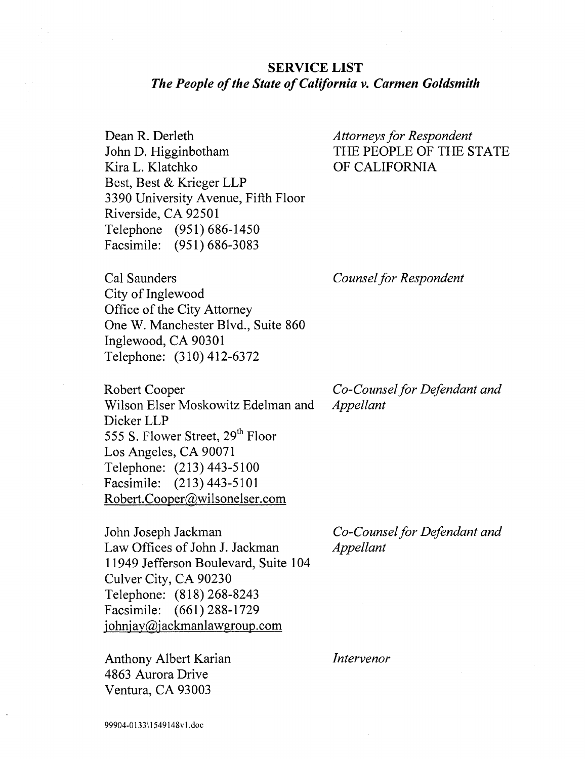#### **SERVICE LIST**  *The People of the State of California v. Carmen Goldsmith*

Dean R. Derleth John D. Higginbotham Kira L. Klatchko Best, Best & Krieger LLP 3390 University Avenue, Fifth Floor Riverside, CA 92501 Telephone (951) 686-1450 Facsimile: (951) 686-3083

*Attorneys for Respondent*  THE PEOPLE OF THE STATE OF CALIFORNIA

Cal Saunders City of Inglewood Office of the City Attorney One W. Manchester Blvd., Suite 860 Inglewood, CA 90301 Telephone: (310) 412-6372

Robert Cooper Wilson Elser Moskowitz Edelman and Dicker LLP 555 S. Flower Street, 29<sup>th</sup> Floor Los Angeles, CA 90071 Telephone: (213) 443-5100 Facsimile: (213) 443-5101 Robert. Cooper@wilsonelser .com

John Joseph Jackman Law Offices of John J. Jackman 11949 Jefferson Boulevard, Suite 104 Culver City, CA 90230 Telephone: (818) 268-8243 Facsimile: (661) 288-1729 johnjay@jackmanlawgroup.com

Anthony Albert Karian 4863 Aurora Drive Ventura, CA 93003

*Co-Counsel for Defendant and Appellant* 

*Counsel for Respondent* 

*Co-Counsel for Defendant and Appellant* 

*Intervenor*